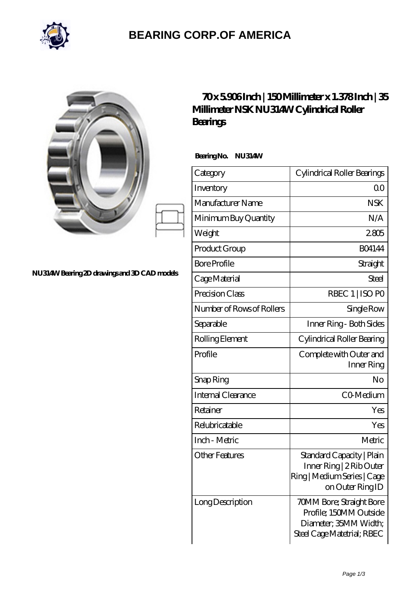

## **[BEARING CORP.OF AMERICA](https://bluemondayreview.com)**

| NU314W Bearing 2D drawings and 3D CAD models | 70x5906Inch   150Millimeter<br>Millimeter NSK NU314W Cylind<br>Bearings |          |
|----------------------------------------------|-------------------------------------------------------------------------|----------|
|                                              | BearingNo.<br><b>NU314W</b>                                             |          |
|                                              | Category                                                                | Cylindri |
|                                              | Inventory                                                               |          |
|                                              | Manufacturer Name                                                       |          |
|                                              | Minimum Buy Quantity                                                    |          |
|                                              | Weight                                                                  |          |
|                                              | Product Group                                                           |          |
|                                              | <b>Bore Profile</b>                                                     |          |
|                                              | Cage Material                                                           |          |
|                                              | Precision Class                                                         |          |
|                                              | Number of Rows of Rollers                                               |          |
|                                              | Separable                                                               | Inne     |
|                                              | Rolling Element                                                         | Cylindi  |
|                                              | Profile                                                                 | Compl    |
|                                              | Snap Ring                                                               |          |

## **[70 x 5.906 Inch | 150 Millimeter x 1.378 Inch | 35](https://bluemondayreview.com/bs-174709-nsk-nu314w-cylindrical-roller-bearings.html) Mical Roller**

| Category                  | Cylindrical Roller Bearings                                                                               |  |
|---------------------------|-----------------------------------------------------------------------------------------------------------|--|
| Inventory                 | 0 <sup>0</sup>                                                                                            |  |
| Manufacturer Name         | <b>NSK</b>                                                                                                |  |
| Minimum Buy Quantity      | N/A                                                                                                       |  |
| Weight                    | 2805                                                                                                      |  |
| Product Group             | <b>BO4144</b>                                                                                             |  |
| <b>Bore Profile</b>       | Straight                                                                                                  |  |
| Cage Material             | Steel                                                                                                     |  |
| Precision Class           | RBEC 1   ISO PO                                                                                           |  |
| Number of Rows of Rollers | Single Row                                                                                                |  |
| Separable                 | Inner Ring - Both Sides                                                                                   |  |
| Rolling Element           | Cylindrical Roller Bearing                                                                                |  |
| Profile                   | Complete with Outer and<br>Inner Ring                                                                     |  |
| Snap Ring                 | No                                                                                                        |  |
| <b>Internal Clearance</b> | CO-Medium                                                                                                 |  |
| Retainer                  | Yes                                                                                                       |  |
| Relubricatable            | Yes                                                                                                       |  |
| Inch - Metric             | Metric                                                                                                    |  |
| Other Features            | Standard Capacity   Plain<br>Inner Ring   2 Rib Outer<br>Ring   Medium Series   Cage<br>on Outer Ring ID  |  |
| Long Description          | 70MM Bore; Straight Bore<br>Profile; 150MM Outside<br>Diameter; 35MM Width;<br>Steel Cage Matetrial; RBEC |  |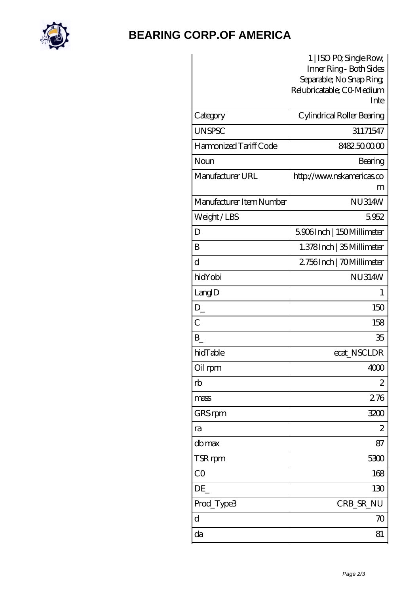

## **[BEARING CORP.OF AMERICA](https://bluemondayreview.com)**

|                          | 1   ISO PO, Single Row,                            |  |
|--------------------------|----------------------------------------------------|--|
|                          | Inner Ring - Both Sides<br>Separable; No Snap Ring |  |
|                          | Relubricatable; CO-Medium                          |  |
|                          | Inte                                               |  |
| Category                 | Cylindrical Roller Bearing                         |  |
| <b>UNSPSC</b>            | 31171547                                           |  |
| Harmonized Tariff Code   | 8482500000                                         |  |
| Noun                     | Bearing                                            |  |
| Manufacturer URL         | http://www.nskamericas.co                          |  |
|                          | m                                                  |  |
| Manufacturer Item Number | <b>NU314W</b>                                      |  |
| Weight/LBS               | 5952                                               |  |
| D                        | 5906Inch   150Millimeter                           |  |
| B                        | 1.378Inch   35 Millimeter                          |  |
| d                        | 2756Inch   70Millimeter                            |  |
| hidYobi                  | <b>NU314W</b>                                      |  |
| LangID                   | 1                                                  |  |
| $D_{-}$                  | 150                                                |  |
| $\overline{C}$           | 158                                                |  |
| B                        | 35                                                 |  |
| hidTable                 | ecat_NSCLDR                                        |  |
| Oil rpm                  | 4000                                               |  |
| rb                       | $\mathbf{z}$                                       |  |
| mass                     | 276                                                |  |
| GRS rpm                  | 3200                                               |  |
| ra                       | $\mathbf{z}$                                       |  |
| db max                   | 87                                                 |  |
| TSR rpm                  | 5300                                               |  |
| CO                       | 168                                                |  |
| DE                       | 130                                                |  |
| Prod_Type3               | CRB_SR_NU                                          |  |
| $\mathbf d$              | 70                                                 |  |
| da                       | 81                                                 |  |
|                          |                                                    |  |